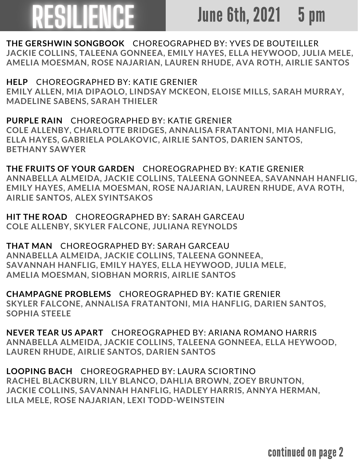# RESILIENCE

### June 6th, 2021 5 pm

**THE GERSHWIN SONGBOOK** CHOREOGRAPHED BY: YVES DE BOUTEILLER **JACKIE COLLINS, TALEENA GONNEEA, EMILY HAYES, ELLA HEYWOOD, JULIA MELE, AMELIA MOESMAN, ROSE NAJARIAN, LAUREN RHUDE, AVA ROTH, AIRLIE SANTOS**

**HELP** CHOREOGRAPHED BY: KATIE GRENIER **EMILY ALLEN, MIA DIPAOLO, LINDSAY MCKEON, ELOISE MILLS, SARAH MURRAY, MADELINE SABENS, SARAH THIELER**

**PURPLE RAIN** CHOREOGRAPHED BY: KATIE GRENIER **COLE ALLENBY, CHARLOTTE BRIDGES, ANNALISA FRATANTONI, MIA HANFLIG, ELLA HAYES, GABRIELA POLAKOVIC, AIRLIE SANTOS, DARIEN SANTOS, BETHANY SAWYER**

**THE FRUITS OF YOUR GARDEN** CHOREOGRAPHED BY: KATIE GRENIER **ANNABELLA ALMEIDA, JACKIE COLLINS, TALEENA GONNEEA, SAVANNAH HANFLIG, EMILY HAYES, AMELIA MOESMAN, ROSE NAJARIAN, LAUREN RHUDE, AVA ROTH, AIRLIE SANTOS, ALEX SYINTSAKOS**

**HIT THE ROAD** CHOREOGRAPHED BY: SARAH GARCEAU **COLE ALLENBY, SKYLER FALCONE, JULIANA REYNOLDS**

**THAT MAN** CHOREOGRAPHED BY: SARAH GARCEAU **ANNABELLA ALMEIDA, JACKIE COLLINS, TALEENA GONNEEA, SAVANNAH HANFLIG, EMILY HAYES, ELLA HEYWOOD, JULIA MELE, AMELIA MOESMAN, SIOBHAN MORRIS, AIRLIE SANTOS**

**CHAMPAGNE PROBLEMS** CHOREOGRAPHED BY: KATIE GRENIER **SKYLER FALCONE, ANNALISA FRATANTONI, MIA HANFLIG, DARIEN SANTOS, SOPHIA STEELE**

**NEVER TEAR US APART** CHOREOGRAPHED BY: ARIANA ROMANO HARRIS **ANNABELLA ALMEIDA, JACKIE COLLINS, TALEENA GONNEEA, ELLA HEYWOOD, LAUREN RHUDE, AIRLIE SANTOS, DARIEN SANTOS**

**LOOPING BACH** CHOREOGRAPHED BY: LAURA SCIORTINO **RACHEL BLACKBURN, LILY BLANCO, DAHLIA BROWN, ZOEY BRUNTON, JACKIE COLLINS, SAVANNAH HANFLIG, HADLEY HARRIS, ANNYA HERMAN, LILA MELE, ROSE NAJARIAN, LEXI TODD-WEINSTEIN**

continued on page 2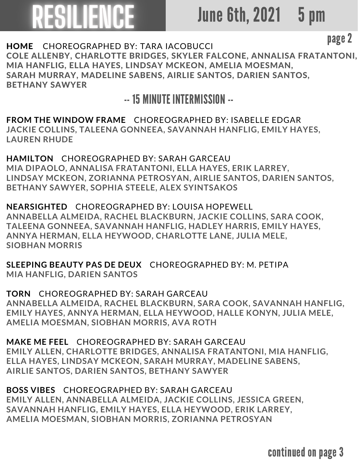# RESILIENCE

### June 6th, 2021 5 pm

page 2

HOME CHOREOGRAPHED BY: TARA IACOBUCCI COLE ALLENBY, CHARLOTTE BRIDGES, SKYLER FALCONE, ANNALISA FRATANTONI, MIA HANFLIG, ELLA HAYES, LINDSAY MCKEON, AMELIA MOESMAN, SARAH MURRAY, MADELINE SABENS, AIRLIE SANTOS, DARIEN SANTOS, BETHANY SAWYER

-- 15 MINUTE INTERMISSION--

**FROM THE WINDOW FRAME** CHOREOGRAPHED BY: ISABELLE EDGAR **JACKIE COLLINS, TALEENA GONNEEA, SAVANNAH HANFLIG, EMILY HAYES, LAUREN RHUDE**

**HAMILTON** CHOREOGRAPHED BY: SARAH GARCEAU **MIA DIPAOLO, ANNALISA FRATANTONI, ELLA HAYES, ERIK LARREY, LINDSAY MCKEON, ZORIANNA PETROSYAN, AIRLIE SANTOS, DARIEN SANTOS, BETHANY SAWYER, SOPHIA STEELE, ALEX SYINTSAKOS**

**NEARSIGHTED** CHOREOGRAPHED BY: LOUISA HOPEWELL **ANNABELLA ALMEIDA, RACHEL BLACKBURN, JACKIE COLLINS, SARA COOK, TALEENA GONNEEA, SAVANNAH HANFLIG, HADLEY HARRIS, EMILY HAYES, ANNYA HERMAN, ELLA HEYWOOD, CHARLOTTE LANE, JULIA MELE, SIOBHAN MORRIS**

**SLEEPING BEAUTY PAS DE DEUX** CHOREOGRAPHED BY: M. PETIPA **MIA HANFLIG, DARIEN SANTOS**

**TORN** CHOREOGRAPHED BY: SARAH GARCEAU **ANNABELLA ALMEIDA, RACHEL BLACKBURN, SARA COOK, SAVANNAH HANFLIG, EMILY HAYES, ANNYA HERMAN, ELLA HEYWOOD, HALLE KONYN, JULIA MELE, AMELIA MOESMAN, SIOBHAN MORRIS, AVA ROTH**

**MAKE ME FEEL** CHOREOGRAPHED BY: SARAH GARCEAU **EMILY ALLEN, CHARLOTTE BRIDGES, ANNALISA FRATANTONI, MIA HANFLIG, ELLA HAYES, LINDSAY MCKEON, SARAH MURRAY, MADELINE SABENS, AIRLIE SANTOS, DARIEN SANTOS, BETHANY SAWYER**

**BOSS VIBES** CHOREOGRAPHED BY: SARAH GARCEAU **EMILY ALLEN, ANNABELLA ALMEIDA, JACKIE COLLINS, JESSICA GREEN, SAVANNAH HANFLIG, EMILY HAYES, ELLA HEYWOOD, ERIK LARREY, AMELIA MOESMAN, SIOBHAN MORRIS, ZORIANNA PETROSYAN**

continued on page 3